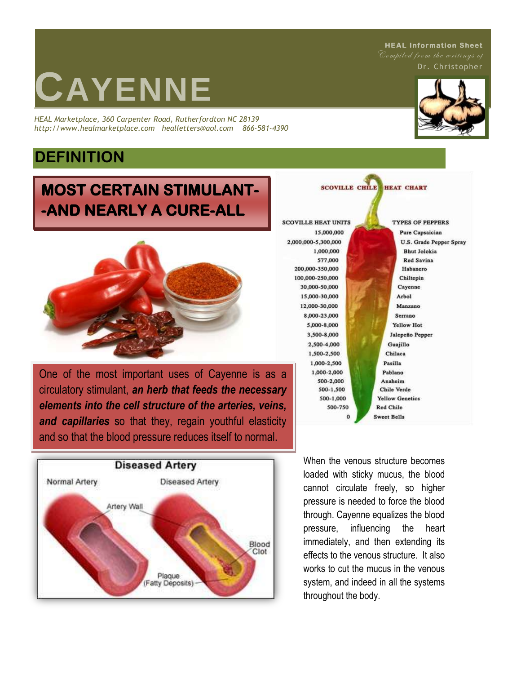#### **HEAL Information Sheet**

Dr. Christopher

# **CAYENNE**

*HEAL Marketplace, 360 Carpenter Road, Rutherfordton NC 28139 http://www.healmarketplace.com healletters@aol.com 866-581-4390*

# **DEFINITION**

# **MOST CERTAIN STIMULANT- -AND NEARLY A CURE-ALL**



One of the most important uses of Cayenne is as a circulatory stimulant, *an herb that feeds the necessary elements into the cell structure of the arteries, veins, and capillaries* so that they, regain youthful elasticity and so that the blood pressure reduces itself to normal.





**SCOVILLE CHILE HEAT CHART** 

When the venous structure becomes loaded with sticky mucus, the blood cannot circulate freely, so higher pressure is needed to force the blood through. Cayenne equalizes the blood pressure, influencing the heart immediately, and then extending its effects to the venous structure. It also works to cut the mucus in the venous system, and indeed in all the systems throughout the body.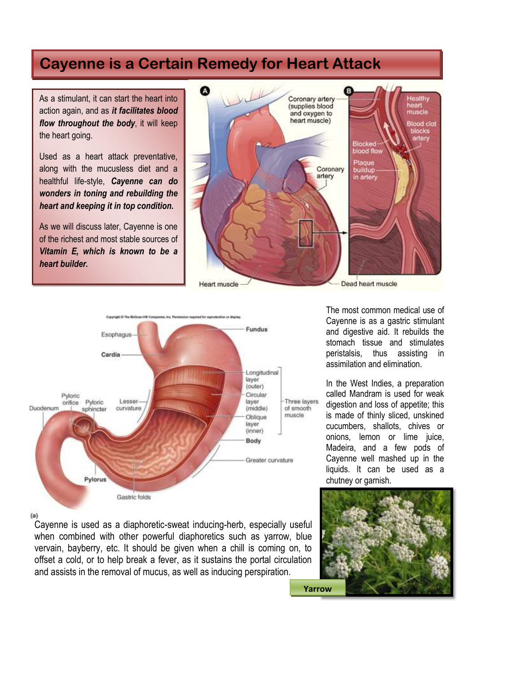# **Cayenne is a Certain Remedy for Heart Attack**

As a stimulant, it can start the heart into action again, and as *it facilitates blood flow throughout the body*, it will keep the heart going.

Used as a heart attack preventative, along with the mucusless diet and a healthful life-style, *Cayenne can do wonders in toning and rebuilding the heart and keeping it in top condition.*

As we will discuss later, Cayenne is one of the richest and most stable sources of *Vitamin E, which is known to be a heart builder.*





The most common medical use of Cayenne is as a gastric stimulant and digestive aid. It rebuilds the stomach tissue and stimulates peristalsis, thus assisting in assimilation and elimination.

In the West Indies, a preparation called Mandram is used for weak digestion and loss of appetite; this is made of thinly sliced, unskined cucumbers, shallots, chives or onions, lemon or lime juice, Madeira, and a few pods of Cayenne well mashed up in the liquids. It can be used as a chutney or garnish.



 $(a)$ 

Cayenne is used as a diaphoretic-sweat inducing-herb, especially useful when combined with other powerful diaphoretics such as yarrow, blue vervain, bayberry, etc. It should be given when a chill is coming on, to offset a cold, or to help break a fever, as it sustains the portal circulation and assists in the removal of mucus, as well as inducing perspiration.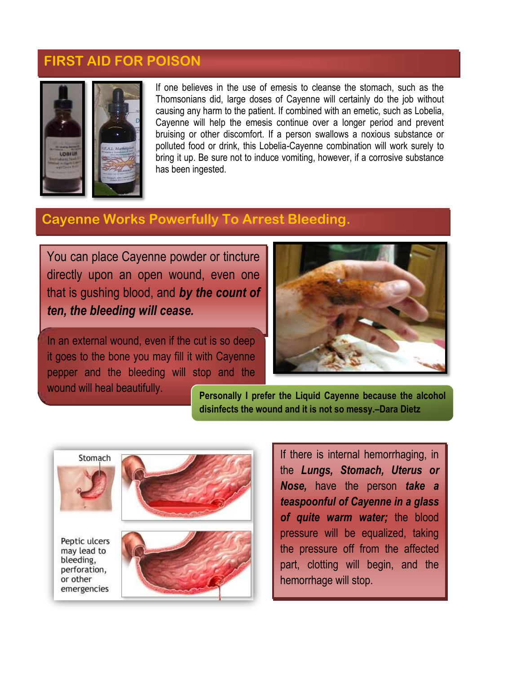### **FIRST AID FOR POISON**



If one believes in the use of emesis to cleanse the stomach, such as the Thomsonians did, large doses of Cayenne will certainly do the job without causing any harm to the patient. If combined with an emetic, such as Lobelia, Cayenne will help the emesis continue over a longer period and prevent bruising or other discomfort. If a person swallows a noxious substance or polluted food or drink, this Lobelia-Cayenne combination will work surely to bring it up. Be sure not to induce vomiting, however, if a corrosive substance has been ingested.

# **Cayenne Works Powerfully To Arrest Bleeding.**

You can place Cayenne powder or tincture directly upon an open wound, even one that is gushing blood, and *by the count of ten, the bleeding will cease.* 

In an external wound, even if the cut is so deep it goes to the bone you may fill it with Cayenne pepper and the bleeding will stop and the



wound will heal beautifully. **Personally I prefer the Liquid Cayenne because the alcohol disinfects the wound and it is not so messy.–Dara Dietz**



If there is internal hemorrhaging, in the *Lungs, Stomach, Uterus or Nose,* have the person *take a teaspoonful of Cayenne in a glass of quite warm water;* the blood pressure will be equalized, taking the pressure off from the affected part, clotting will begin, and the hemorrhage will stop.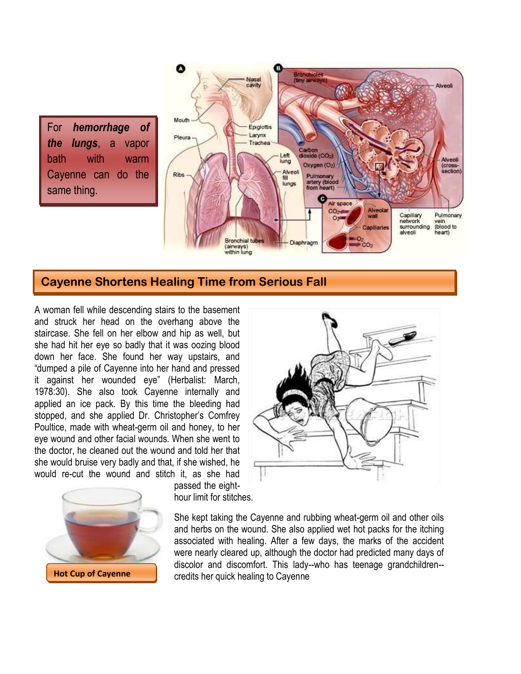For *hemorrhage of the lungs*, a vapor bath with warm Cayenne can do the same thing.



#### **Cayenne Shortens Healing Time from Serious Fall**

A woman fell while descending stairs to the basement and struck her head on the overhang above the staircase. She fell on her elbow and hip as well, but she had hit her eye so badly that it was oozing blood down her face. She found her way upstairs, and "dumped a pile of Cayenne into her hand and pressed it against her wounded eye" (Herbalist: March, 1978:30). She also took Cayenne internally and applied an ice pack. By this time the bleeding had stopped, and she applied Dr. Christopher's Comfrey Poultice, made with wheat-germ oil and honey, to her eye wound and other facial wounds. When she went to the doctor, he cleaned out the wound and told her that she would bruise very badly and that, if she wished, he would re-cut the wound and stitch it, as she had



passed the eighthour limit for stitches.

She kept taking the Cayenne and rubbing wheat-germ oil and other oils and herbs on the wound. She also applied wet hot packs for the itching associated with healing. After a few days, the marks of the accident were nearly cleared up, although the doctor had predicted many days of discolor and discomfort. This lady--who has teenage grandchildren- credits her quick healing to Cayenne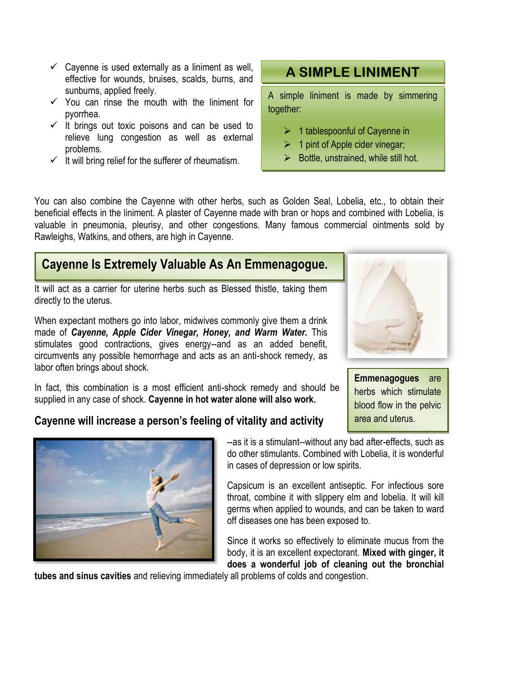- $\checkmark$  Cayenne is used externally as a liniment as well, effective for wounds, bruises, scalds, burns, and sunburns, applied freely.
- $\checkmark$  You can rinse the mouth with the liniment for pyorrhea.
- $\checkmark$  It brings out toxic poisons and can be used to relieve lung congestion as well as external problems.
- $\checkmark$  It will bring relief for the sufferer of rheumatism.

# **A SIMPLE LINIMENT**

A simple liniment is made by simmering together:

- $\geq 1$  tablespoonful of Cayenne in
- $\geq 1$  pint of Apple cider vinegar;
- $\triangleright$  Bottle, unstrained, while still hot.

You can also combine the Cayenne with other herbs, such as Golden Seal, Lobelia, etc., to obtain their beneficial effects in the liniment. A plaster of Cayenne made with bran or hops and combined with Lobelia, is valuable in pneumonia, pleurisy, and other congestions. Many famous commercial ointments sold by Rawleighs, Watkins, and others, are high in Cayenne.

## **Cayenne Is Extremely Valuable As An Emmenagogue.**

It will act as a carrier for uterine herbs such as Blessed thistle, taking them directly to the uterus.

When expectant mothers go into labor, midwives commonly give them a drink made of *Cayenne, Apple Cider Vinegar, Honey, and Warm Water.* This stimulates good contractions, gives energy--and as an added benefit, circumvents any possible hemorrhage and acts as an anti-shock remedy, as labor often brings about shock.

In fact, this combination is a most efficient anti-shock remedy and should be supplied in any case of shock. **Cayenne in hot water alone will also work.**

#### **Cayenne will increase a person's feeling of vitality and activity**

--as it is a stimulant--without any bad after-effects, such as do other stimulants. Combined with Lobelia, it is wonderful in cases of depression or low spirits.

Capsicum is an excellent antiseptic. For infectious sore throat, combine it with slippery elm and lobelia. It will kill germs when applied to wounds, and can be taken to ward off diseases one has been exposed to.

Since it works so effectively to eliminate mucus from the body, it is an excellent expectorant. **Mixed with ginger, it does a wonderful job of cleaning out the bronchial** 

**tubes and sinus cavities** and relieving immediately all problems of colds and congestion.





**Emmenagogues** are herbs which stimulate blood flow in the pelvic area and uterus.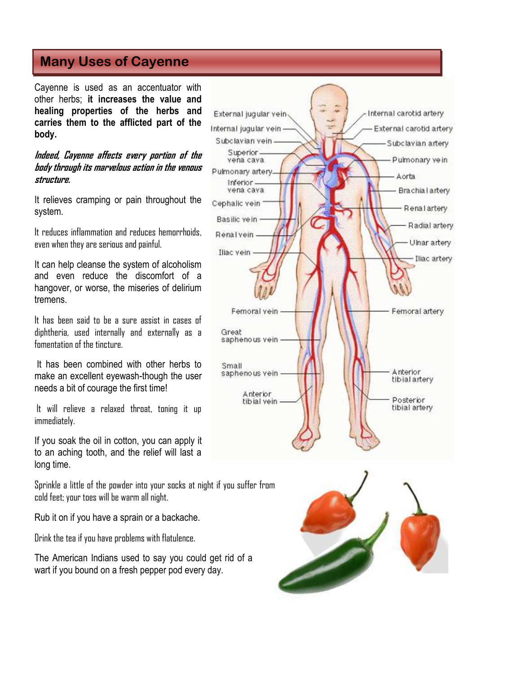## **Many Uses of Cayenne**

Cayenne is used as an accentuator with other herbs; **it increases the value and healing properties of the herbs and carries them to the afflicted part of the body.** 

#### **Indeed, Cayenne affects every portion of the body through its marvelous action in the venous structure.**

It relieves cramping or pain throughout the system.

It reduces inflammation and reduces hemorrhoids, even when they are serious and painful.

It can help cleanse the system of alcoholism and even reduce the discomfort of a hangover, or worse, the miseries of delirium tremens.

It has been said to be a sure assist in cases of diphtheria, used internally and externally as a fomentation of the tincture.

It has been combined with other herbs to make an excellent eyewash-though the user needs a bit of courage the first time!

It will relieve a relaxed throat, toning it up immediately.

If you soak the oil in cotton, you can apply it to an aching tooth, and the relief will last a long time.

Sprinkle a little of the powder into your socks at night if you suffer from cold feet; your toes will be warm all night.

Rub it on if you have a sprain or a backache.

Drink the tea if you have problems with flatulence.

The American Indians used to say you could get rid of a wart if you bound on a fresh pepper pod every day.